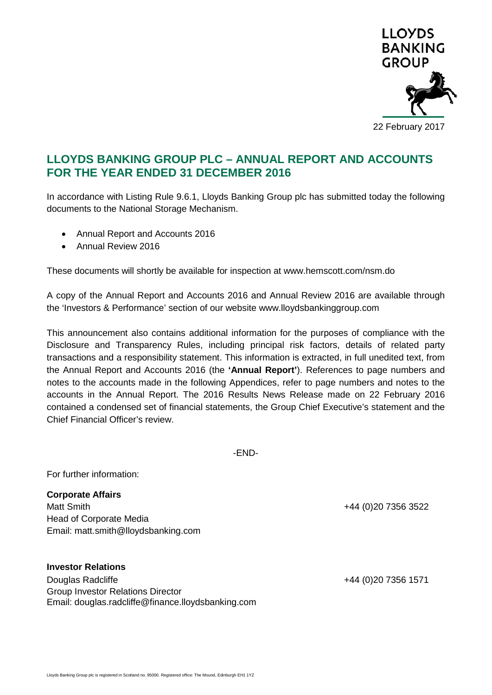

# **LLOYDS BANKING GROUP PLC – ANNUAL REPORT AND ACCOUNTS FOR THE YEAR ENDED 31 DECEMBER 2016**

In accordance with Listing Rule 9.6.1, Lloyds Banking Group plc has submitted today the following documents to the National Storage Mechanism.

- Annual Report and Accounts 2016
- Annual Review 2016

These documents will shortly be available for inspection at www.hemscott.com/nsm.do

A copy of the Annual Report and Accounts 2016 and Annual Review 2016 are available through the 'Investors & Performance' section of our website www.lloydsbankinggroup.com

This announcement also contains additional information for the purposes of compliance with the Disclosure and Transparency Rules, including principal risk factors, details of related party transactions and a responsibility statement. This information is extracted, in full unedited text, from the Annual Report and Accounts 2016 (the **'Annual Report'**). References to page numbers and notes to the accounts made in the following Appendices, refer to page numbers and notes to the accounts in the Annual Report. The 2016 Results News Release made on 22 February 2016 contained a condensed set of financial statements, the Group Chief Executive's statement and the Chief Financial Officer's review.

-END-

For further information:

**Corporate Affairs** Matt Smith +44 (0)20 7356 3522 Head of Corporate Media Email: matt.smith@lloydsbanking.com

## **Investor Relations**

Douglas Radcliffe +44 (0)20 7356 1571 Group Investor Relations Director Email: douglas.radcliffe@finance.lloydsbanking.com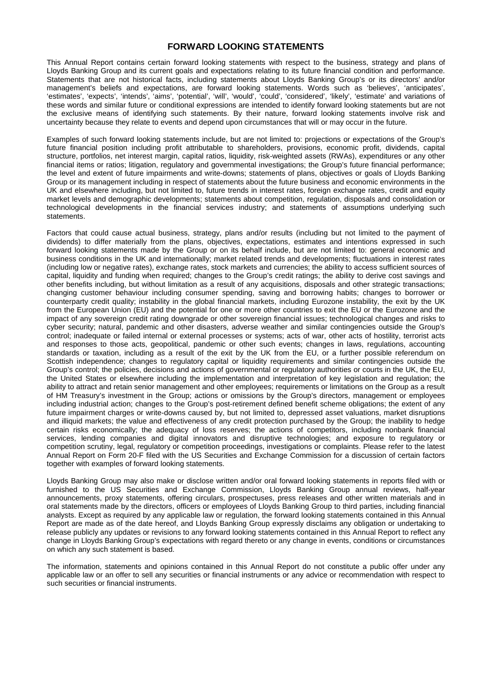## **FORWARD LOOKING STATEMENTS**

This Annual Report contains certain forward looking statements with respect to the business, strategy and plans of Lloyds Banking Group and its current goals and expectations relating to its future financial condition and performance. Statements that are not historical facts, including statements about Lloyds Banking Group's or its directors' and/or management's beliefs and expectations, are forward looking statements. Words such as 'believes', 'anticipates', 'estimates', 'expects', 'intends', 'aims', 'potential', 'will', 'would', 'could', 'considered', 'likely', 'estimate' and variations of these words and similar future or conditional expressions are intended to identify forward looking statements but are not the exclusive means of identifying such statements. By their nature, forward looking statements involve risk and uncertainty because they relate to events and depend upon circumstances that will or may occur in the future.

Examples of such forward looking statements include, but are not limited to: projections or expectations of the Group's future financial position including profit attributable to shareholders, provisions, economic profit, dividends, capital structure, portfolios, net interest margin, capital ratios, liquidity, risk-weighted assets (RWAs), expenditures or any other financial items or ratios; litigation, regulatory and governmental investigations; the Group's future financial performance; the level and extent of future impairments and write-downs; statements of plans, objectives or goals of Lloyds Banking Group or its management including in respect of statements about the future business and economic environments in the UK and elsewhere including, but not limited to, future trends in interest rates, foreign exchange rates, credit and equity market levels and demographic developments; statements about competition, regulation, disposals and consolidation or technological developments in the financial services industry; and statements of assumptions underlying such statements.

Factors that could cause actual business, strategy, plans and/or results (including but not limited to the payment of dividends) to differ materially from the plans, objectives, expectations, estimates and intentions expressed in such forward looking statements made by the Group or on its behalf include, but are not limited to: general economic and business conditions in the UK and internationally; market related trends and developments; fluctuations in interest rates (including low or negative rates), exchange rates, stock markets and currencies; the ability to access sufficient sources of capital, liquidity and funding when required; changes to the Group's credit ratings; the ability to derive cost savings and other benefits including, but without limitation as a result of any acquisitions, disposals and other strategic transactions; changing customer behaviour including consumer spending, saving and borrowing habits; changes to borrower or counterparty credit quality; instability in the global financial markets, including Eurozone instability, the exit by the UK from the European Union (EU) and the potential for one or more other countries to exit the EU or the Eurozone and the impact of any sovereign credit rating downgrade or other sovereign financial issues; technological changes and risks to cyber security; natural, pandemic and other disasters, adverse weather and similar contingencies outside the Group's control; inadequate or failed internal or external processes or systems; acts of war, other acts of hostility, terrorist acts and responses to those acts, geopolitical, pandemic or other such events; changes in laws, regulations, accounting standards or taxation, including as a result of the exit by the UK from the EU, or a further possible referendum on Scottish independence; changes to regulatory capital or liquidity requirements and similar contingencies outside the Group's control; the policies, decisions and actions of governmental or regulatory authorities or courts in the UK, the EU, the United States or elsewhere including the implementation and interpretation of key legislation and regulation; the ability to attract and retain senior management and other employees; requirements or limitations on the Group as a result of HM Treasury's investment in the Group; actions or omissions by the Group's directors, management or employees including industrial action; changes to the Group's post-retirement defined benefit scheme obligations; the extent of any future impairment charges or write-downs caused by, but not limited to, depressed asset valuations, market disruptions and illiquid markets; the value and effectiveness of any credit protection purchased by the Group; the inability to hedge certain risks economically; the adequacy of loss reserves; the actions of competitors, including nonbank financial services, lending companies and digital innovators and disruptive technologies; and exposure to regulatory or competition scrutiny, legal, regulatory or competition proceedings, investigations or complaints. Please refer to the latest Annual Report on Form 20-F filed with the US Securities and Exchange Commission for a discussion of certain factors together with examples of forward looking statements.

Lloyds Banking Group may also make or disclose written and/or oral forward looking statements in reports filed with or furnished to the US Securities and Exchange Commission, Lloyds Banking Group annual reviews, half-year announcements, proxy statements, offering circulars, prospectuses, press releases and other written materials and in oral statements made by the directors, officers or employees of Lloyds Banking Group to third parties, including financial analysts. Except as required by any applicable law or regulation, the forward looking statements contained in this Annual Report are made as of the date hereof, and Lloyds Banking Group expressly disclaims any obligation or undertaking to release publicly any updates or revisions to any forward looking statements contained in this Annual Report to reflect any change in Lloyds Banking Group's expectations with regard thereto or any change in events, conditions or circumstances on which any such statement is based.

The information, statements and opinions contained in this Annual Report do not constitute a public offer under any applicable law or an offer to sell any securities or financial instruments or any advice or recommendation with respect to such securities or financial instruments.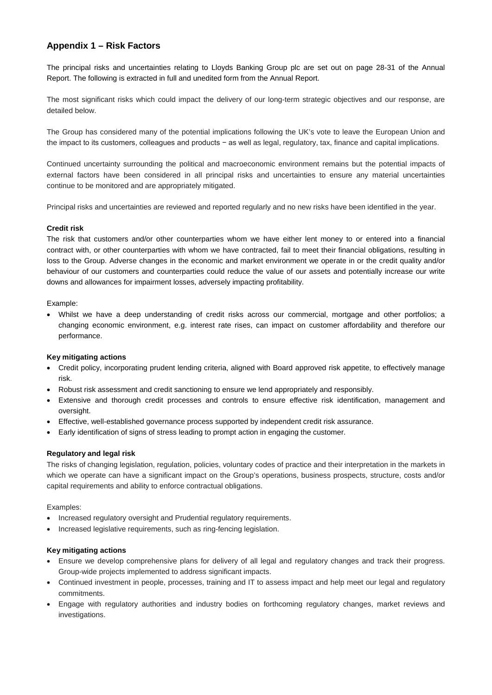## **Appendix 1 – Risk Factors**

The principal risks and uncertainties relating to Lloyds Banking Group plc are set out on page 28-31 of the Annual Report. The following is extracted in full and unedited form from the Annual Report.

The most significant risks which could impact the delivery of our long-term strategic objectives and our response, are detailed below.

The Group has considered many of the potential implications following the UK's vote to leave the European Union and the impact to its customers, colleagues and products − as well as legal, regulatory, tax, finance and capital implications.

Continued uncertainty surrounding the political and macroeconomic environment remains but the potential impacts of external factors have been considered in all principal risks and uncertainties to ensure any material uncertainties continue to be monitored and are appropriately mitigated.

Principal risks and uncertainties are reviewed and reported regularly and no new risks have been identified in the year.

## **Credit risk**

The risk that customers and/or other counterparties whom we have either lent money to or entered into a financial contract with, or other counterparties with whom we have contracted, fail to meet their financial obligations, resulting in loss to the Group. Adverse changes in the economic and market environment we operate in or the credit quality and/or behaviour of our customers and counterparties could reduce the value of our assets and potentially increase our write downs and allowances for impairment losses, adversely impacting profitability.

#### Example:

• Whilst we have a deep understanding of credit risks across our commercial, mortgage and other portfolios; a changing economic environment, e.g. interest rate rises, can impact on customer affordability and therefore our performance.

## **Key mitigating actions**

- Credit policy, incorporating prudent lending criteria, aligned with Board approved risk appetite, to effectively manage risk.
- Robust risk assessment and credit sanctioning to ensure we lend appropriately and responsibly.
- Extensive and thorough credit processes and controls to ensure effective risk identification, management and oversight.
- Effective, well-established governance process supported by independent credit risk assurance.
- Early identification of signs of stress leading to prompt action in engaging the customer.

## **Regulatory and legal risk**

The risks of changing legislation, regulation, policies, voluntary codes of practice and their interpretation in the markets in which we operate can have a significant impact on the Group's operations, business prospects, structure, costs and/or capital requirements and ability to enforce contractual obligations.

Examples:

- Increased regulatory oversight and Prudential regulatory requirements.
- Increased legislative requirements, such as ring-fencing legislation.

- Ensure we develop comprehensive plans for delivery of all legal and regulatory changes and track their progress. Group-wide projects implemented to address significant impacts.
- Continued investment in people, processes, training and IT to assess impact and help meet our legal and regulatory commitments.
- Engage with regulatory authorities and industry bodies on forthcoming regulatory changes, market reviews and investigations.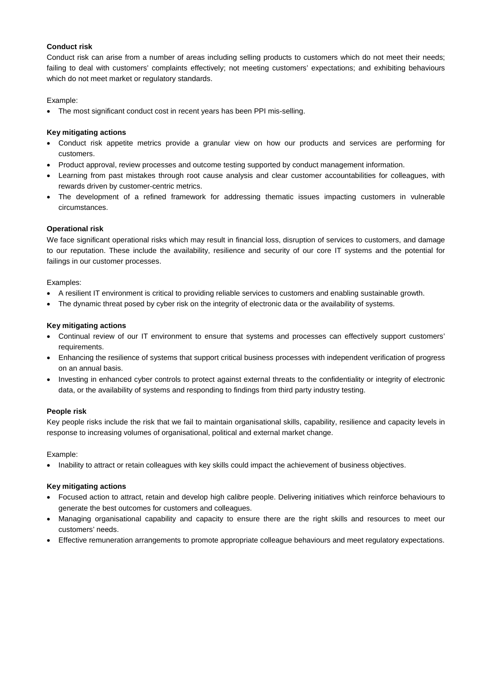## **Conduct risk**

Conduct risk can arise from a number of areas including selling products to customers which do not meet their needs; failing to deal with customers' complaints effectively; not meeting customers' expectations; and exhibiting behaviours which do not meet market or regulatory standards.

## Example:

• The most significant conduct cost in recent years has been PPI mis-selling.

## **Key mitigating actions**

- Conduct risk appetite metrics provide a granular view on how our products and services are performing for customers.
- Product approval, review processes and outcome testing supported by conduct management information.
- Learning from past mistakes through root cause analysis and clear customer accountabilities for colleagues, with rewards driven by customer-centric metrics.
- The development of a refined framework for addressing thematic issues impacting customers in vulnerable circumstances.

## **Operational risk**

We face significant operational risks which may result in financial loss, disruption of services to customers, and damage to our reputation. These include the availability, resilience and security of our core IT systems and the potential for failings in our customer processes.

## Examples:

- A resilient IT environment is critical to providing reliable services to customers and enabling sustainable growth.
- The dynamic threat posed by cyber risk on the integrity of electronic data or the availability of systems.

## **Key mitigating actions**

- Continual review of our IT environment to ensure that systems and processes can effectively support customers' requirements.
- Enhancing the resilience of systems that support critical business processes with independent verification of progress on an annual basis.
- Investing in enhanced cyber controls to protect against external threats to the confidentiality or integrity of electronic data, or the availability of systems and responding to findings from third party industry testing.

## **People risk**

Key people risks include the risk that we fail to maintain organisational skills, capability, resilience and capacity levels in response to increasing volumes of organisational, political and external market change.

## Example:

• Inability to attract or retain colleagues with key skills could impact the achievement of business objectives.

- Focused action to attract, retain and develop high calibre people. Delivering initiatives which reinforce behaviours to generate the best outcomes for customers and colleagues.
- Managing organisational capability and capacity to ensure there are the right skills and resources to meet our customers' needs.
- Effective remuneration arrangements to promote appropriate colleague behaviours and meet regulatory expectations.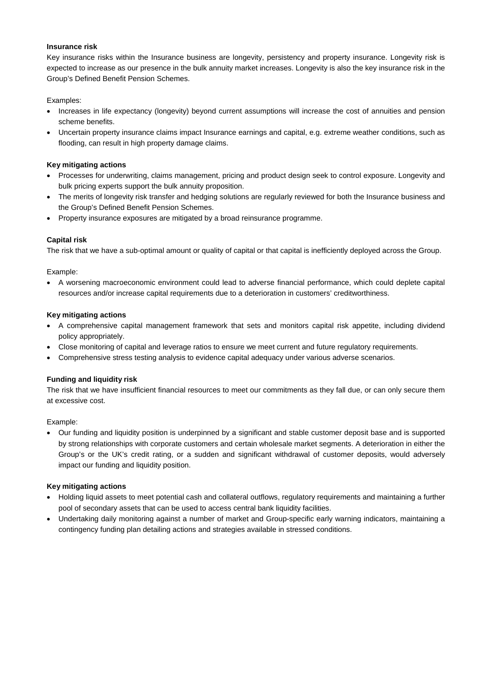### **Insurance risk**

Key insurance risks within the Insurance business are longevity, persistency and property insurance. Longevity risk is expected to increase as our presence in the bulk annuity market increases. Longevity is also the key insurance risk in the Group's Defined Benefit Pension Schemes.

### Examples:

- Increases in life expectancy (longevity) beyond current assumptions will increase the cost of annuities and pension scheme benefits.
- Uncertain property insurance claims impact Insurance earnings and capital, e.g. extreme weather conditions, such as flooding, can result in high property damage claims.

### **Key mitigating actions**

- Processes for underwriting, claims management, pricing and product design seek to control exposure. Longevity and bulk pricing experts support the bulk annuity proposition.
- The merits of longevity risk transfer and hedging solutions are regularly reviewed for both the Insurance business and the Group's Defined Benefit Pension Schemes.
- Property insurance exposures are mitigated by a broad reinsurance programme.

#### **Capital risk**

The risk that we have a sub-optimal amount or quality of capital or that capital is inefficiently deployed across the Group.

Example:

• A worsening macroeconomic environment could lead to adverse financial performance, which could deplete capital resources and/or increase capital requirements due to a deterioration in customers' creditworthiness.

#### **Key mitigating actions**

- A comprehensive capital management framework that sets and monitors capital risk appetite, including dividend policy appropriately.
- Close monitoring of capital and leverage ratios to ensure we meet current and future regulatory requirements.
- Comprehensive stress testing analysis to evidence capital adequacy under various adverse scenarios.

#### **Funding and liquidity risk**

The risk that we have insufficient financial resources to meet our commitments as they fall due, or can only secure them at excessive cost.

Example:

• Our funding and liquidity position is underpinned by a significant and stable customer deposit base and is supported by strong relationships with corporate customers and certain wholesale market segments. A deterioration in either the Group's or the UK's credit rating, or a sudden and significant withdrawal of customer deposits, would adversely impact our funding and liquidity position.

- Holding liquid assets to meet potential cash and collateral outflows, regulatory requirements and maintaining a further pool of secondary assets that can be used to access central bank liquidity facilities.
- Undertaking daily monitoring against a number of market and Group-specific early warning indicators, maintaining a contingency funding plan detailing actions and strategies available in stressed conditions.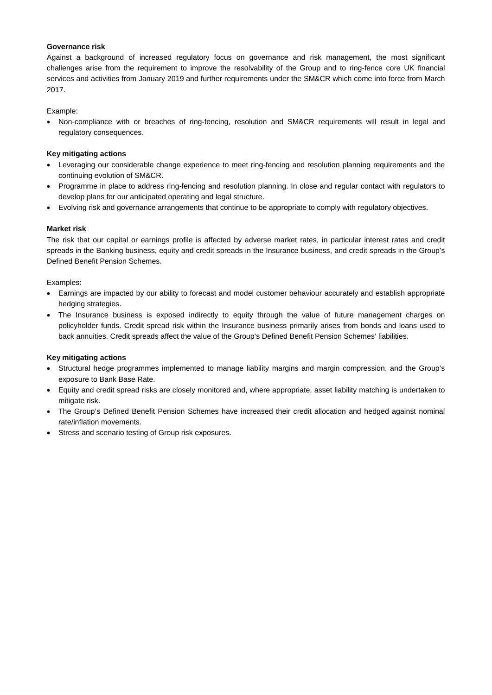## **Governance risk**

Against a background of increased regulatory focus on governance and risk management, the most significant challenges arise from the requirement to improve the resolvability of the Group and to ring-fence core UK financial services and activities from January 2019 and further requirements under the SM&CR which come into force from March 2017.

Example:

• Non-compliance with or breaches of ring-fencing, resolution and SM&CR requirements will result in legal and regulatory consequences.

## **Key mitigating actions**

- Leveraging our considerable change experience to meet ring-fencing and resolution planning requirements and the continuing evolution of SM&CR.
- Programme in place to address ring-fencing and resolution planning. In close and regular contact with regulators to develop plans for our anticipated operating and legal structure.
- Evolving risk and governance arrangements that continue to be appropriate to comply with regulatory objectives.

## **Market risk**

The risk that our capital or earnings profile is affected by adverse market rates, in particular interest rates and credit spreads in the Banking business, equity and credit spreads in the Insurance business, and credit spreads in the Group's Defined Benefit Pension Schemes.

## Examples:

- Earnings are impacted by our ability to forecast and model customer behaviour accurately and establish appropriate hedging strategies.
- The Insurance business is exposed indirectly to equity through the value of future management charges on policyholder funds. Credit spread risk within the Insurance business primarily arises from bonds and loans used to back annuities. Credit spreads affect the value of the Group's Defined Benefit Pension Schemes' liabilities.

- Structural hedge programmes implemented to manage liability margins and margin compression, and the Group's exposure to Bank Base Rate.
- Equity and credit spread risks are closely monitored and, where appropriate, asset liability matching is undertaken to mitigate risk.
- The Group's Defined Benefit Pension Schemes have increased their credit allocation and hedged against nominal rate/inflation movements.
- Stress and scenario testing of Group risk exposures.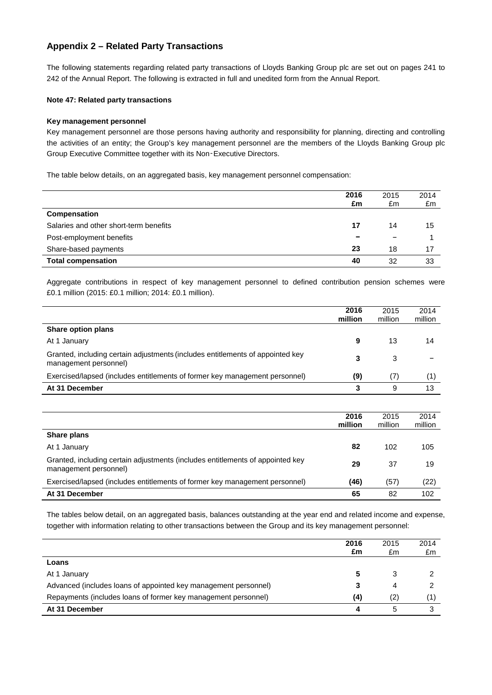## **Appendix 2 – Related Party Transactions**

The following statements regarding related party transactions of Lloyds Banking Group plc are set out on pages 241 to 242 of the Annual Report. The following is extracted in full and unedited form from the Annual Report.

## **Note 47: Related party transactions**

### **Key management personnel**

Key management personnel are those persons having authority and responsibility for planning, directing and controlling the activities of an entity; the Group's key management personnel are the members of the Lloyds Banking Group plc Group Executive Committee together with its Non‑Executive Directors.

The table below details, on an aggregated basis, key management personnel compensation:

|                                        | 2016<br>£m | 2015<br>£m | 2014<br>£m |
|----------------------------------------|------------|------------|------------|
| Compensation                           |            |            |            |
| Salaries and other short-term benefits | 17         | 14         | 15         |
| Post-employment benefits               |            | -          |            |
| Share-based payments                   | 23         | 18         | 17         |
| <b>Total compensation</b>              | 40         | 32         | 33         |

Aggregate contributions in respect of key management personnel to defined contribution pension schemes were £0.1 million (2015: £0.1 million; 2014: £0.1 million).

|                                                                                                         | 2016<br>million | 2015<br>million | 2014<br>million |
|---------------------------------------------------------------------------------------------------------|-----------------|-----------------|-----------------|
| Share option plans                                                                                      |                 |                 |                 |
| At 1 January                                                                                            | 9               | 13              | 14              |
| Granted, including certain adjustments (includes entitlements of appointed key<br>management personnel) | 3               | 3               |                 |
| Exercised/lapsed (includes entitlements of former key management personnel)                             | (9)             | (7)             |                 |
| At 31 December                                                                                          |                 | 9               | 13              |
|                                                                                                         |                 |                 |                 |

|                                                                                                         | 2016<br>million | 2015<br>million | 2014<br>million |
|---------------------------------------------------------------------------------------------------------|-----------------|-----------------|-----------------|
| Share plans                                                                                             |                 |                 |                 |
| At 1 January                                                                                            | 82              | 102             | 105             |
| Granted, including certain adjustments (includes entitlements of appointed key<br>management personnel) | 29              | 37              | 19              |
| Exercised/lapsed (includes entitlements of former key management personnel)                             | (46)            | (57)            | (22)            |
| At 31 December                                                                                          | 65              | 82              | 102             |

The tables below detail, on an aggregated basis, balances outstanding at the year end and related income and expense, together with information relating to other transactions between the Group and its key management personnel:

|                                                                 | 2016<br>£m | 2015<br>£m | 2014<br>£m |
|-----------------------------------------------------------------|------------|------------|------------|
| Loans                                                           |            |            |            |
| At 1 January                                                    |            | 3          |            |
| Advanced (includes loans of appointed key management personnel) |            | 4          |            |
| Repayments (includes loans of former key management personnel)  | (4)        | (2)        |            |
| At 31 December                                                  |            | 5          |            |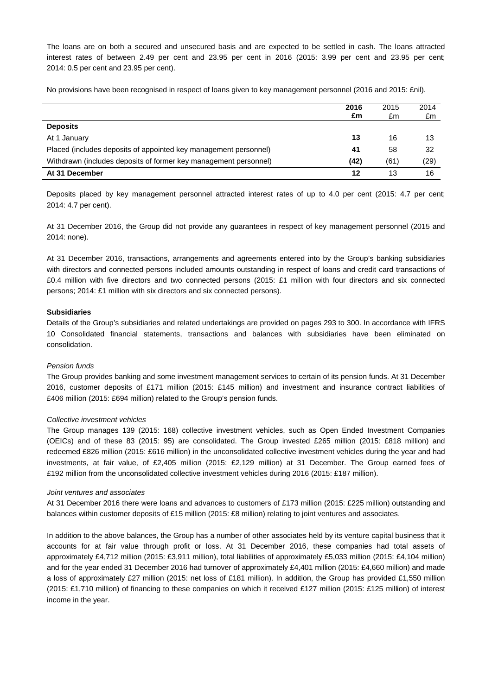The loans are on both a secured and unsecured basis and are expected to be settled in cash. The loans attracted interest rates of between 2.49 per cent and 23.95 per cent in 2016 (2015: 3.99 per cent and 23.95 per cent; 2014: 0.5 per cent and 23.95 per cent).

No provisions have been recognised in respect of loans given to key management personnel (2016 and 2015: £nil).

|                                                                  | 2016<br>£m | 2015<br>£m | 2014<br>£m |
|------------------------------------------------------------------|------------|------------|------------|
| <b>Deposits</b>                                                  |            |            |            |
| At 1 January                                                     | 13         | 16         | 13         |
| Placed (includes deposits of appointed key management personnel) | 41         | 58         | 32         |
| Withdrawn (includes deposits of former key management personnel) | (42)       | (61)       | (29)       |
| At 31 December                                                   | 12         | 13         | 16         |

Deposits placed by key management personnel attracted interest rates of up to 4.0 per cent (2015: 4.7 per cent; 2014: 4.7 per cent).

At 31 December 2016, the Group did not provide any guarantees in respect of key management personnel (2015 and 2014: none).

At 31 December 2016, transactions, arrangements and agreements entered into by the Group's banking subsidiaries with directors and connected persons included amounts outstanding in respect of loans and credit card transactions of £0.4 million with five directors and two connected persons (2015: £1 million with four directors and six connected persons; 2014: £1 million with six directors and six connected persons).

#### **Subsidiaries**

Details of the Group's subsidiaries and related undertakings are provided on pages 293 to 300. In accordance with IFRS 10 Consolidated financial statements, transactions and balances with subsidiaries have been eliminated on consolidation.

#### *Pension funds*

The Group provides banking and some investment management services to certain of its pension funds. At 31 December 2016, customer deposits of £171 million (2015: £145 million) and investment and insurance contract liabilities of £406 million (2015: £694 million) related to the Group's pension funds.

#### *Collective investment vehicles*

The Group manages 139 (2015: 168) collective investment vehicles, such as Open Ended Investment Companies (OEICs) and of these 83 (2015: 95) are consolidated. The Group invested £265 million (2015: £818 million) and redeemed £826 million (2015: £616 million) in the unconsolidated collective investment vehicles during the year and had investments, at fair value, of £2,405 million (2015: £2,129 million) at 31 December. The Group earned fees of £192 million from the unconsolidated collective investment vehicles during 2016 (2015: £187 million).

#### *Joint ventures and associates*

At 31 December 2016 there were loans and advances to customers of £173 million (2015: £225 million) outstanding and balances within customer deposits of £15 million (2015: £8 million) relating to joint ventures and associates.

In addition to the above balances, the Group has a number of other associates held by its venture capital business that it accounts for at fair value through profit or loss. At 31 December 2016, these companies had total assets of approximately £4,712 million (2015: £3,911 million), total liabilities of approximately £5,033 million (2015: £4,104 million) and for the year ended 31 December 2016 had turnover of approximately £4,401 million (2015: £4,660 million) and made a loss of approximately £27 million (2015: net loss of £181 million). In addition, the Group has provided £1,550 million (2015: £1,710 million) of financing to these companies on which it received £127 million (2015: £125 million) of interest income in the year.